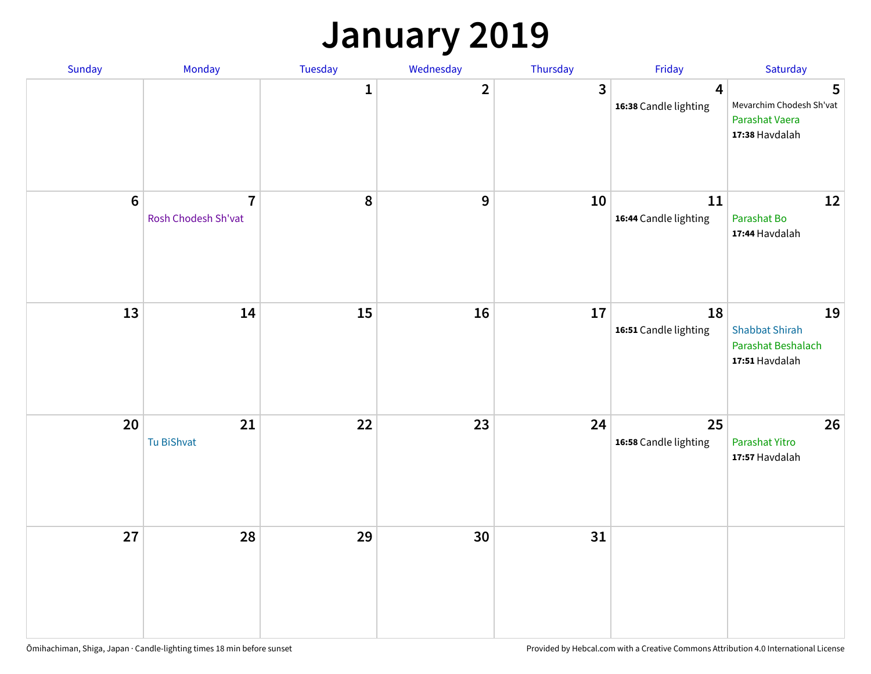### **January 2019**

| Sunday | Monday                                | Tuesday | Wednesday      | Thursday | Friday                      | Saturday                                                            |
|--------|---------------------------------------|---------|----------------|----------|-----------------------------|---------------------------------------------------------------------|
|        |                                       | 1       | $\overline{2}$ | 3        | 4<br>16:38 Candle lighting  | 5<br>Mevarchim Chodesh Sh'vat<br>Parashat Vaera<br>17:38 Havdalah   |
| $6\,$  | $\overline{7}$<br>Rosh Chodesh Sh'vat | 8       | 9              | 10       | 11<br>16:44 Candle lighting | 12<br>Parashat Bo<br>17:44 Havdalah                                 |
| 13     | 14                                    | 15      | 16             | $17\,$   | 18<br>16:51 Candle lighting | 19<br><b>Shabbat Shirah</b><br>Parashat Beshalach<br>17:51 Havdalah |
| 20     | 21<br>Tu BiShvat                      | 22      | 23             | 24       | 25<br>16:58 Candle lighting | 26<br>Parashat Yitro<br>17:57 Havdalah                              |
| 27     | 28                                    | 29      | 30             | 31       |                             |                                                                     |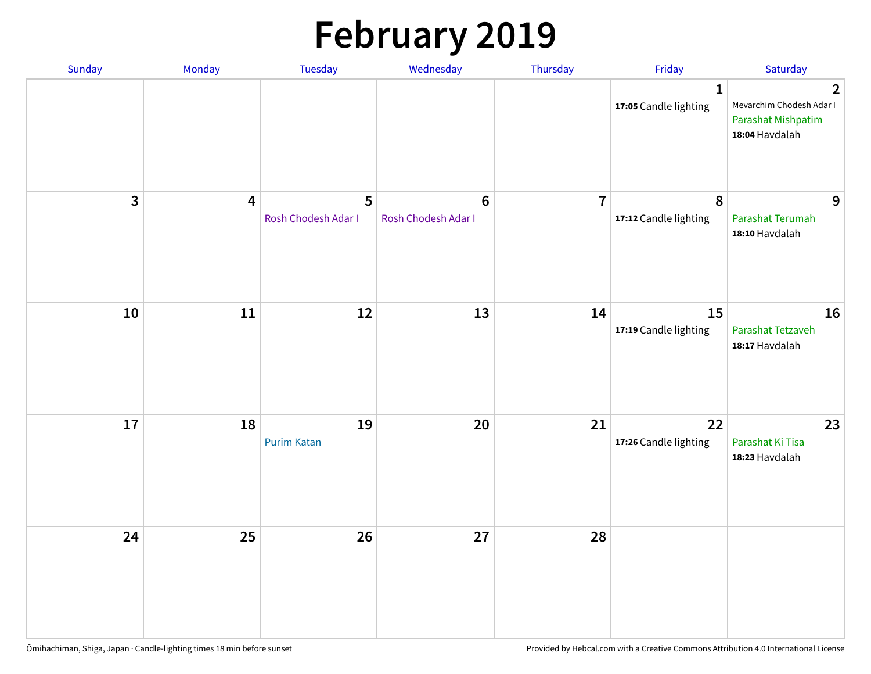# **February 2019**

| Sunday | Monday                  | Tuesday                  | Wednesday                      | Thursday       | Friday                                    | Saturday                                                                           |
|--------|-------------------------|--------------------------|--------------------------------|----------------|-------------------------------------------|------------------------------------------------------------------------------------|
|        |                         |                          |                                |                | $\mathbf{1}$<br>17:05 Candle lighting     | $\overline{2}$<br>Mevarchim Chodesh Adar I<br>Parashat Mishpatim<br>18:04 Havdalah |
| 3      | $\overline{\mathbf{4}}$ | 5<br>Rosh Chodesh Adar I | $\bf 6$<br>Rosh Chodesh Adar I | $\overline{7}$ | $\boldsymbol{8}$<br>17:12 Candle lighting | 9<br>Parashat Terumah<br>18:10 Havdalah                                            |
| 10     | ${\bf 11}$              | 12                       | 13                             | 14             | 15<br>17:19 Candle lighting               | 16<br>Parashat Tetzaveh<br>18:17 Havdalah                                          |
| 17     | 18                      | 19<br><b>Purim Katan</b> | 20                             | 21             | 22<br>17:26 Candle lighting               | 23<br>Parashat Ki Tisa<br>18:23 Havdalah                                           |
| 24     | 25                      | 26                       | 27                             | 28             |                                           |                                                                                    |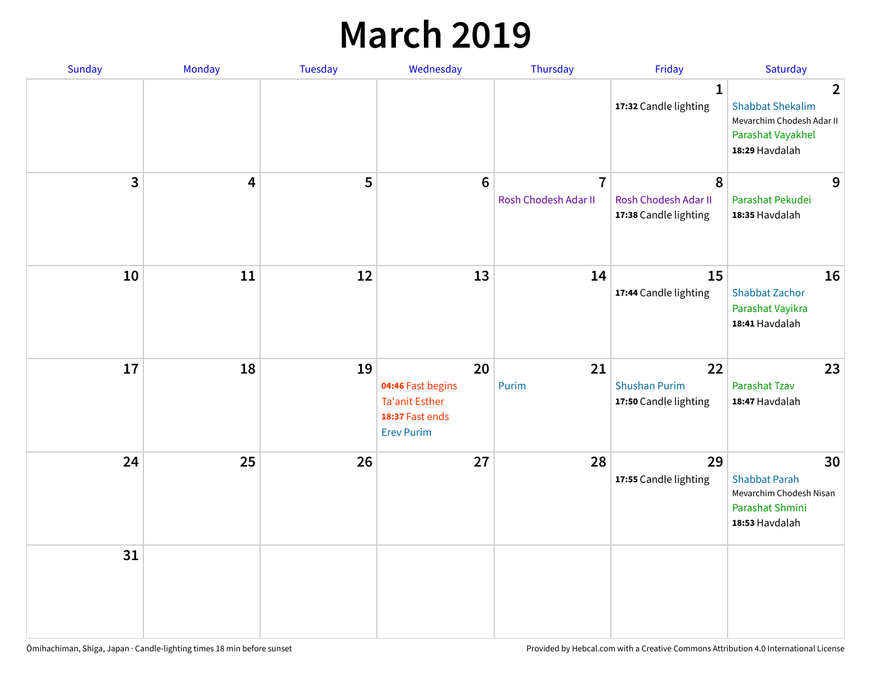### **March 2019**

| Sunday         | Monday | Tuesday | Wednesday                                                                                | Thursday                               | Friday                                              | Saturday                                                                                                      |
|----------------|--------|---------|------------------------------------------------------------------------------------------|----------------------------------------|-----------------------------------------------------|---------------------------------------------------------------------------------------------------------------|
|                |        |         |                                                                                          |                                        | $\mathbf{1}$<br>17:32 Candle lighting               | $\overline{2}$<br><b>Shabbat Shekalim</b><br>Mevarchim Chodesh Adar II<br>Parashat Vayakhel<br>18:29 Havdalah |
| $\overline{3}$ | 4      | 5       | $6\phantom{1}6$                                                                          | $\overline{7}$<br>Rosh Chodesh Adar II | 8<br>Rosh Chodesh Adar II<br>17:38 Candle lighting  | 9<br>Parashat Pekudei<br>18:35 Havdalah                                                                       |
| 10             | 11     | 12      | 13                                                                                       | 14                                     | 15<br>17:44 Candle lighting                         | 16<br><b>Shabbat Zachor</b><br>Parashat Vayikra<br>18:41 Havdalah                                             |
| 17             | 18     | 19      | 20<br>04:46 Fast begins<br><b>Ta'anit Esther</b><br>18:37 Fast ends<br><b>Erev Purim</b> | 21<br>Purim                            | 22<br><b>Shushan Purim</b><br>17:50 Candle lighting | 23<br>Parashat Tzav<br>18:47 Havdalah                                                                         |
| 24             | 25     | 26      | 27                                                                                       | 28                                     | 29<br>17:55 Candle lighting                         | 30<br><b>Shabbat Parah</b><br>Mevarchim Chodesh Nisan<br>Parashat Shmini<br>18:53 Havdalah                    |
| 31             |        |         |                                                                                          |                                        |                                                     |                                                                                                               |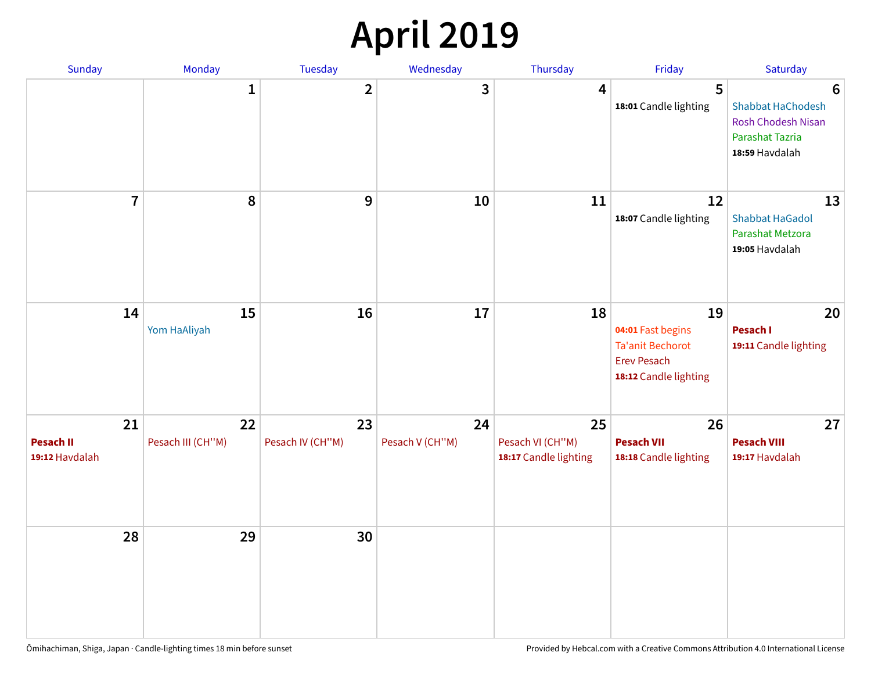### **April 2019**

| Sunday                                   | Monday                  | Tuesday                | Wednesday             | Thursday                                        | Friday                                                                                            | Saturday                                                                                               |
|------------------------------------------|-------------------------|------------------------|-----------------------|-------------------------------------------------|---------------------------------------------------------------------------------------------------|--------------------------------------------------------------------------------------------------------|
|                                          | $\mathbf{1}$            | $\overline{2}$         | 3                     | $\overline{4}$                                  | 5<br>18:01 Candle lighting                                                                        | $6\phantom{1}6$<br>Shabbat HaChodesh<br><b>Rosh Chodesh Nisan</b><br>Parashat Tazria<br>18:59 Havdalah |
| $\overline{7}$                           | 8                       | $\boldsymbol{9}$       | 10                    | 11                                              | 12<br>18:07 Candle lighting                                                                       | 13<br><b>Shabbat HaGadol</b><br>Parashat Metzora<br>19:05 Havdalah                                     |
| 14                                       | 15<br>Yom HaAliyah      | 16                     | 17                    | 18                                              | 19<br>04:01 Fast begins<br><b>Ta'anit Bechorot</b><br><b>Erev Pesach</b><br>18:12 Candle lighting | 20<br>Pesach I<br>19:11 Candle lighting                                                                |
| 21<br><b>Pesach II</b><br>19:12 Havdalah | 22<br>Pesach III (CH"M) | 23<br>Pesach IV (CH"M) | 24<br>Pesach V (CH"M) | 25<br>Pesach VI (CH"M)<br>18:17 Candle lighting | 26<br><b>Pesach VII</b><br>18:18 Candle lighting                                                  | 27<br><b>Pesach VIII</b><br>19:17 Havdalah                                                             |
| 28                                       | 29                      | 30                     |                       |                                                 |                                                                                                   |                                                                                                        |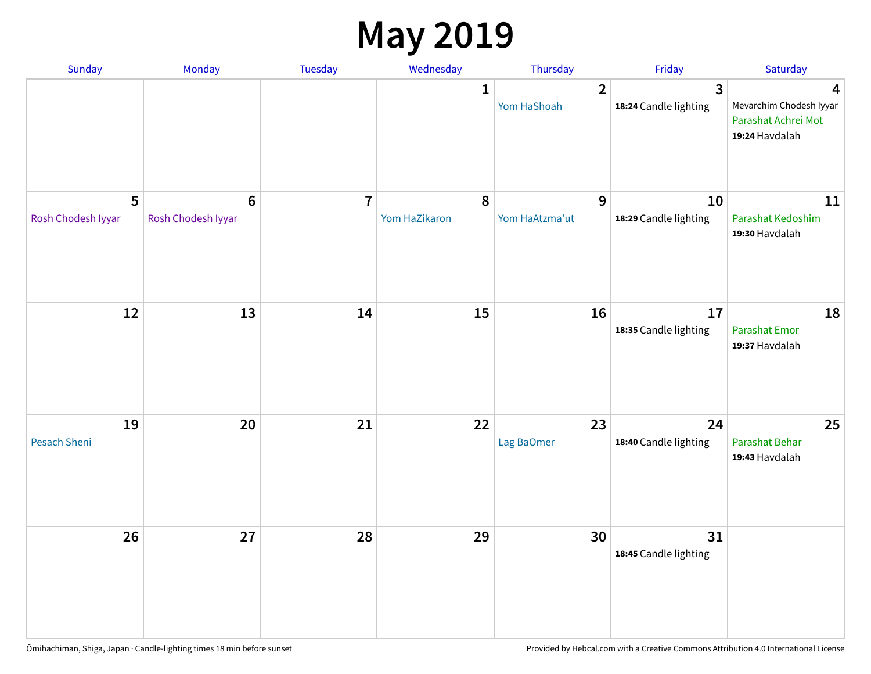### **May 2019**

| Sunday                  | Monday                                | Tuesday        | Wednesday                  | Thursday                      | Friday                                  | Saturday                                                              |
|-------------------------|---------------------------------------|----------------|----------------------------|-------------------------------|-----------------------------------------|-----------------------------------------------------------------------|
|                         |                                       |                | 1                          | $\overline{2}$<br>Yom HaShoah | $\overline{3}$<br>18:24 Candle lighting | 4<br>Mevarchim Chodesh Iyyar<br>Parashat Achrei Mot<br>19:24 Havdalah |
| 5<br>Rosh Chodesh Iyyar | $6\phantom{1}6$<br>Rosh Chodesh Iyyar | $\overline{7}$ | $\pmb{8}$<br>Yom HaZikaron | 9<br>Yom HaAtzma'ut           | 10<br>18:29 Candle lighting             | 11<br>Parashat Kedoshim<br>19:30 Havdalah                             |
| 12                      | 13                                    | 14             | 15                         | 16                            | 17<br>18:35 Candle lighting             | 18<br>Parashat Emor<br>19:37 Havdalah                                 |
| 19<br>Pesach Sheni      | 20                                    | 21             | 22                         | 23<br>Lag BaOmer              | 24<br>18:40 Candle lighting             | 25<br>Parashat Behar<br>19:43 Havdalah                                |
| 26                      | 27                                    | 28             | 29                         | 30                            | 31<br>18:45 Candle lighting             |                                                                       |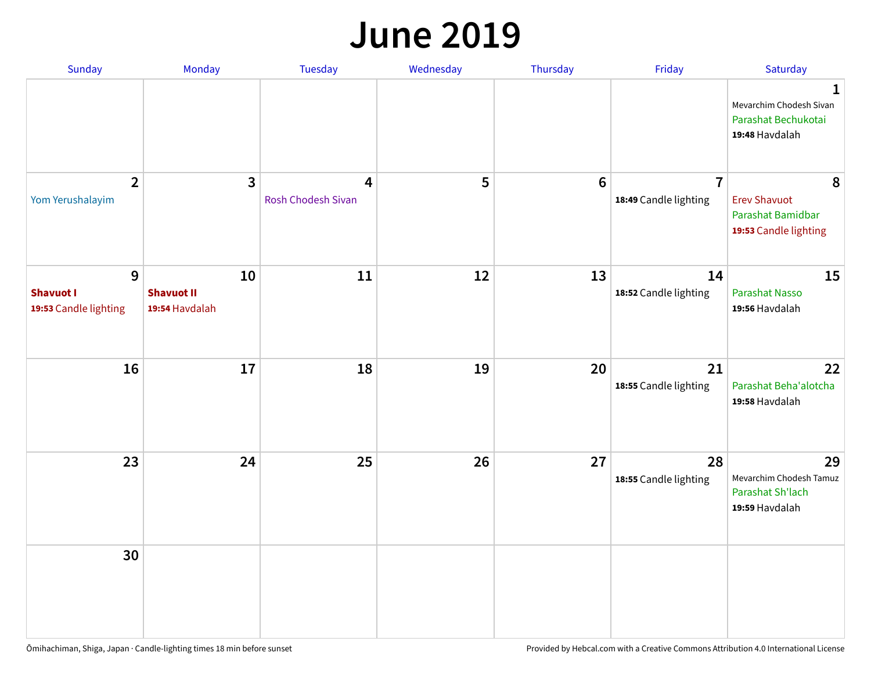#### **June 2019**

| Sunday                                         | Monday                                    | Tuesday                        | Wednesday | Thursday        | Friday                                  | Saturday                                                               |
|------------------------------------------------|-------------------------------------------|--------------------------------|-----------|-----------------|-----------------------------------------|------------------------------------------------------------------------|
|                                                |                                           |                                |           |                 |                                         | 1<br>Mevarchim Chodesh Sivan<br>Parashat Bechukotai<br>19:48 Havdalah  |
| $\overline{2}$<br>Yom Yerushalayim             | $\mathbf{3}$                              | 4<br><b>Rosh Chodesh Sivan</b> | 5         | $6\phantom{1}6$ | $\overline{7}$<br>18:49 Candle lighting | 8<br><b>Erev Shavuot</b><br>Parashat Bamidbar<br>19:53 Candle lighting |
| 9<br><b>Shavuot I</b><br>19:53 Candle lighting | 10<br><b>Shavuot II</b><br>19:54 Havdalah | 11                             | 12        | 13              | 14<br>18:52 Candle lighting             | 15<br><b>Parashat Nasso</b><br>19:56 Havdalah                          |
| 16                                             | 17                                        | 18                             | 19        | 20              | 21<br>18:55 Candle lighting             | 22<br>Parashat Beha'alotcha<br>19:58 Havdalah                          |
| 23                                             | 24                                        | 25                             | 26        | 27              | 28<br>18:55 Candle lighting             | 29<br>Mevarchim Chodesh Tamuz<br>Parashat Sh'lach<br>19:59 Havdalah    |
| 30                                             |                                           |                                |           |                 |                                         |                                                                        |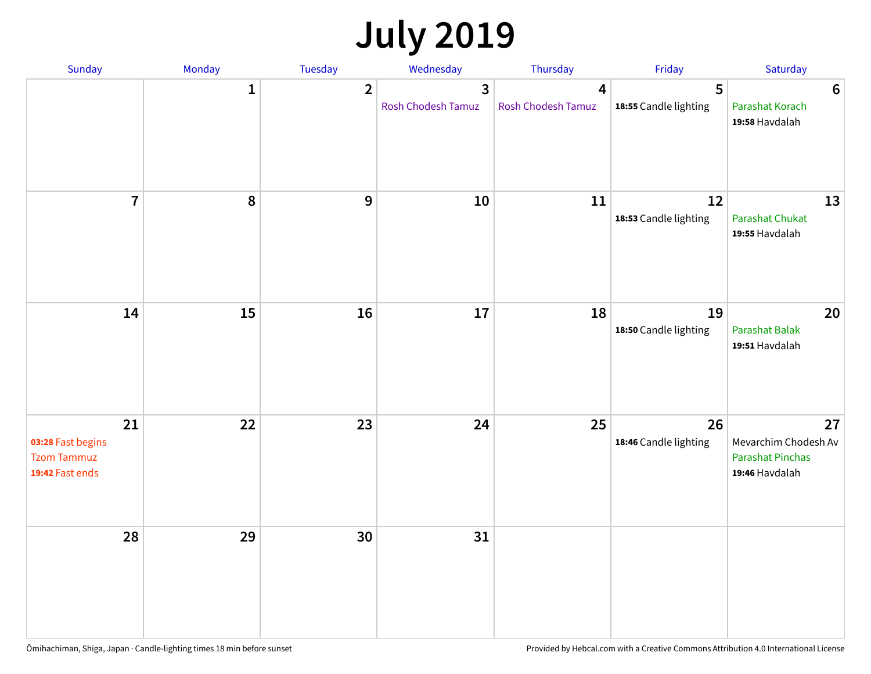# **July 2019**

| Sunday                                                           | Monday       | Tuesday        | Wednesday                                   | Thursday                             | Friday                      | Saturday                                                                |
|------------------------------------------------------------------|--------------|----------------|---------------------------------------------|--------------------------------------|-----------------------------|-------------------------------------------------------------------------|
|                                                                  | $\mathbf{1}$ | $\overline{2}$ | $\overline{3}$<br><b>Rosh Chodesh Tamuz</b> | $\overline{4}$<br>Rosh Chodesh Tamuz | 5<br>18:55 Candle lighting  | $\boldsymbol{6}$<br>Parashat Korach<br>19:58 Havdalah                   |
| $\overline{7}$                                                   | 8            | $\overline{9}$ | 10                                          | 11                                   | 12<br>18:53 Candle lighting | 13<br><b>Parashat Chukat</b><br>19:55 Havdalah                          |
| 14                                                               | 15           | 16             | 17                                          | 18                                   | 19<br>18:50 Candle lighting | 20<br>Parashat Balak<br>19:51 Havdalah                                  |
| 21<br>03:28 Fast begins<br><b>Tzom Tammuz</b><br>19:42 Fast ends | 22           | 23             | 24                                          | 25                                   | 26<br>18:46 Candle lighting | 27<br>Mevarchim Chodesh Av<br><b>Parashat Pinchas</b><br>19:46 Havdalah |
| 28                                                               | 29           | 30             | 31                                          |                                      |                             |                                                                         |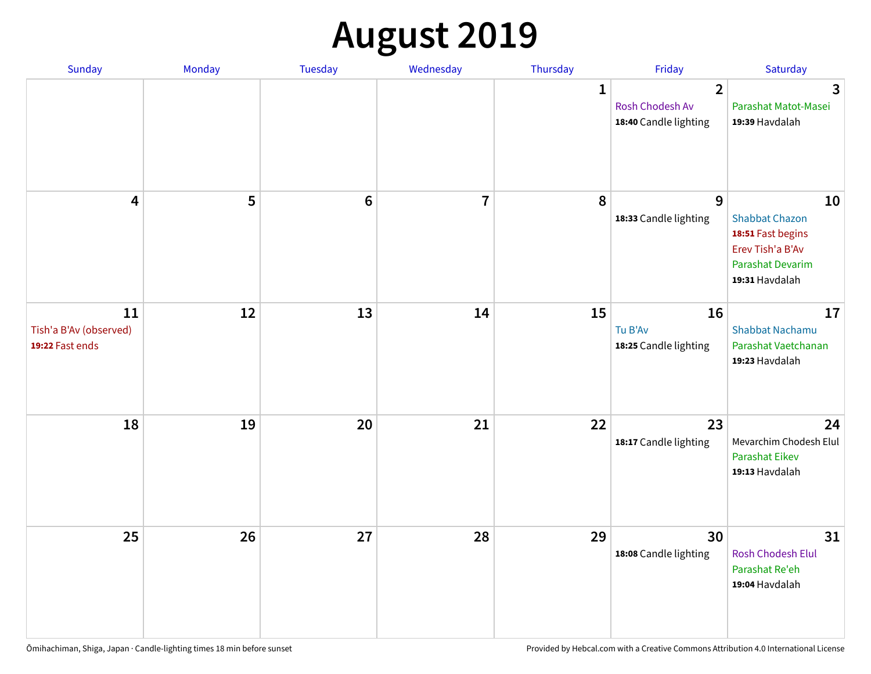# **August 2019**

| Sunday                                          | Monday | Tuesday         | Wednesday      | Thursday     | Friday                                                     | Saturday                                                                                                   |
|-------------------------------------------------|--------|-----------------|----------------|--------------|------------------------------------------------------------|------------------------------------------------------------------------------------------------------------|
|                                                 |        |                 |                | $\mathbf{1}$ | $\overline{2}$<br>Rosh Chodesh Av<br>18:40 Candle lighting | $\overline{3}$<br>Parashat Matot-Masei<br>19:39 Havdalah                                                   |
| $\overline{\mathbf{4}}$                         | 5      | $6\phantom{1}6$ | $\overline{7}$ | 8            | 9<br>18:33 Candle lighting                                 | 10<br><b>Shabbat Chazon</b><br>18:51 Fast begins<br>Erev Tish'a B'Av<br>Parashat Devarim<br>19:31 Havdalah |
| 11<br>Tish'a B'Av (observed)<br>19:22 Fast ends | 12     | 13              | 14             | 15           | 16<br>Tu B'Av<br>18:25 Candle lighting                     | 17<br><b>Shabbat Nachamu</b><br>Parashat Vaetchanan<br>19:23 Havdalah                                      |
| 18                                              | 19     | 20              | 21             | 22           | 23<br>18:17 Candle lighting                                | 24<br>Mevarchim Chodesh Elul<br><b>Parashat Eikev</b><br>19:13 Havdalah                                    |
| 25                                              | 26     | 27              | 28             | 29           | 30<br>18:08 Candle lighting                                | 31<br><b>Rosh Chodesh Elul</b><br>Parashat Re'eh<br>19:04 Havdalah                                         |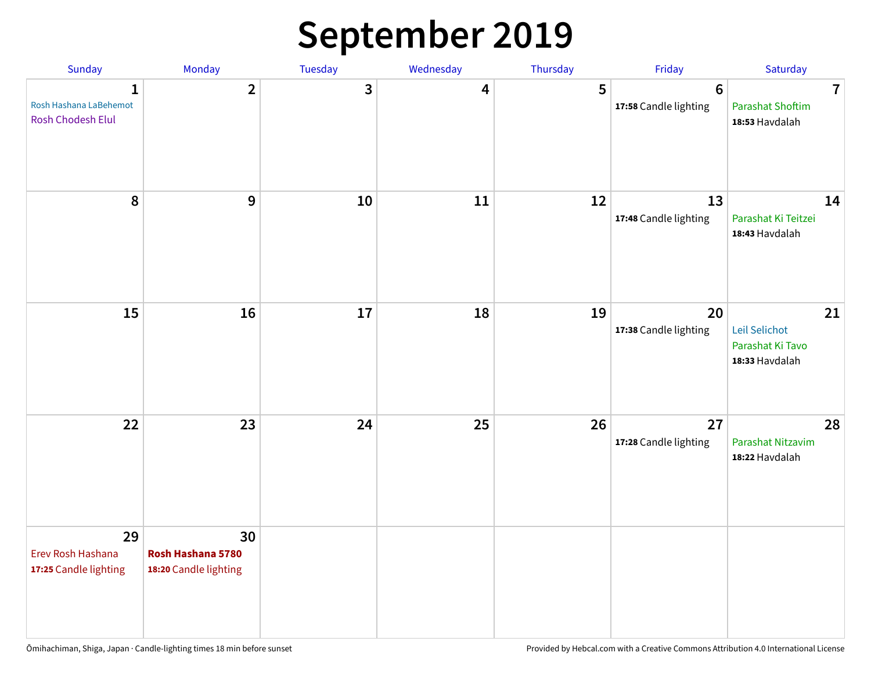### **September 2019**

| Sunday                                                      | Monday                                           | Tuesday | Wednesday | Thursday | Friday                           | Saturday                                                    |
|-------------------------------------------------------------|--------------------------------------------------|---------|-----------|----------|----------------------------------|-------------------------------------------------------------|
| $\mathbf{1}$<br>Rosh Hashana LaBehemot<br>Rosh Chodesh Elul | $\overline{2}$                                   | 3       | 4         | 5        | $\bf 6$<br>17:58 Candle lighting | $\overline{7}$<br><b>Parashat Shoftim</b><br>18:53 Havdalah |
| 8                                                           | 9                                                | 10      | 11        | 12       | 13<br>17:48 Candle lighting      | 14<br>Parashat Ki Teitzei<br>18:43 Havdalah                 |
| 15                                                          | 16                                               | 17      | 18        | 19       | 20<br>17:38 Candle lighting      | 21<br>Leil Selichot<br>Parashat Ki Tavo<br>18:33 Havdalah   |
| 22                                                          | 23                                               | 24      | 25        | 26       | 27<br>17:28 Candle lighting      | 28<br>Parashat Nitzavim<br>18:22 Havdalah                   |
| 29<br>Erev Rosh Hashana<br>17:25 Candle lighting            | 30<br>Rosh Hashana 5780<br>18:20 Candle lighting |         |           |          |                                  |                                                             |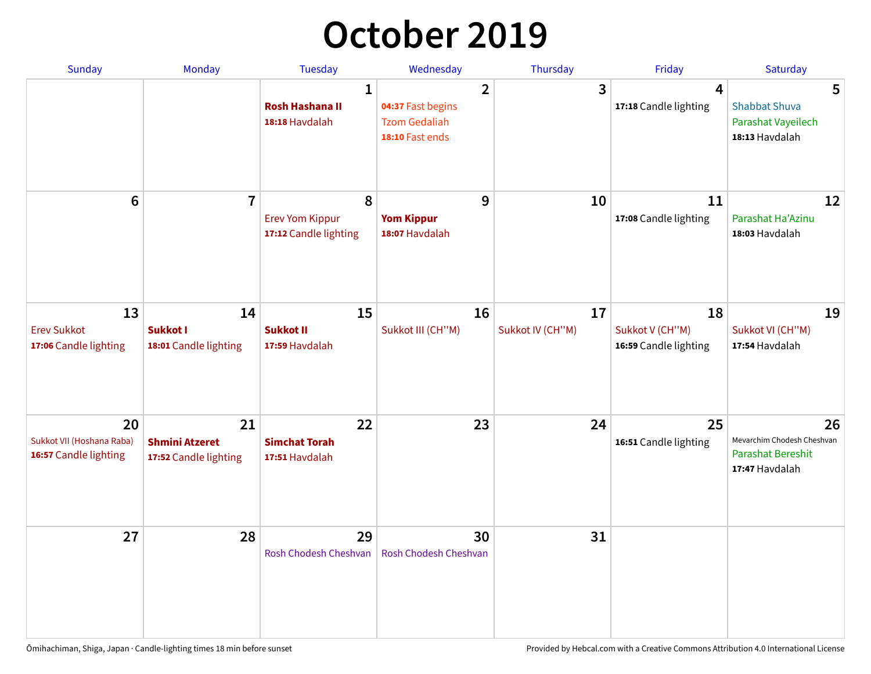### **October 2019**

| <b>Sunday</b>                                            | <b>Monday</b>                                        | <b>Tuesday</b>                                           | Wednesday                                                                      | Thursday               | Friday                                         | Saturday                                                                       |
|----------------------------------------------------------|------------------------------------------------------|----------------------------------------------------------|--------------------------------------------------------------------------------|------------------------|------------------------------------------------|--------------------------------------------------------------------------------|
|                                                          |                                                      | $\mathbf{1}$<br><b>Rosh Hashana II</b><br>18:18 Havdalah | $\overline{2}$<br>04:37 Fast begins<br><b>Tzom Gedaliah</b><br>18:10 Fast ends | 3                      | $\overline{4}$<br>17:18 Candle lighting        | 5<br><b>Shabbat Shuva</b><br>Parashat Vayeilech<br>18:13 Havdalah              |
| $6\phantom{1}$                                           | $\overline{7}$                                       | 8<br><b>Erev Yom Kippur</b><br>17:12 Candle lighting     | 9<br><b>Yom Kippur</b><br>18:07 Havdalah                                       | 10                     | 11<br>17:08 Candle lighting                    | 12<br>Parashat Ha'Azinu<br>18:03 Havdalah                                      |
| 13<br><b>Erev Sukkot</b><br>17:06 Candle lighting        | 14<br>Sukkot I<br>18:01 Candle lighting              | 15<br><b>Sukkot II</b><br>17:59 Havdalah                 | 16<br>Sukkot III (CH"M)                                                        | 17<br>Sukkot IV (CH"M) | 18<br>Sukkot V (CH"M)<br>16:59 Candle lighting | 19<br>Sukkot VI (CH"M)<br>17:54 Havdalah                                       |
| 20<br>Sukkot VII (Hoshana Raba)<br>16:57 Candle lighting | 21<br><b>Shmini Atzeret</b><br>17:52 Candle lighting | 22<br><b>Simchat Torah</b><br>17:51 Havdalah             | 23                                                                             | 24                     | 25<br>16:51 Candle lighting                    | 26<br>Mevarchim Chodesh Cheshvan<br><b>Parashat Bereshit</b><br>17:47 Havdalah |
| 27                                                       | 28                                                   | 29<br>Rosh Chodesh Cheshvan                              | 30<br>Rosh Chodesh Cheshvan                                                    | 31                     |                                                |                                                                                |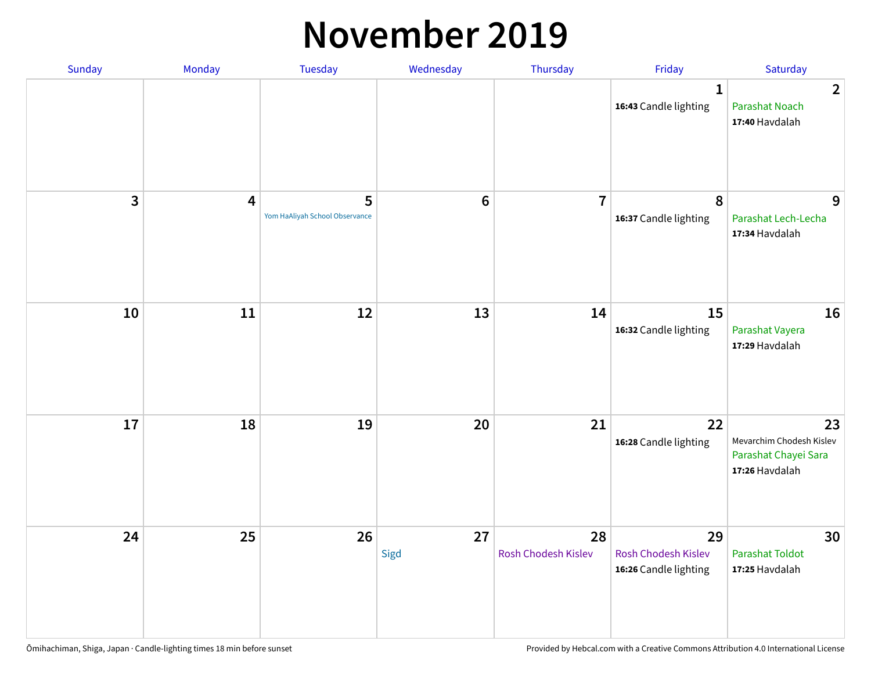#### **November 2019**

| Sunday | Monday                  | <b>Tuesday</b>                      | Wednesday      | Thursday                  | Friday                                                    | Saturday                                                                 |
|--------|-------------------------|-------------------------------------|----------------|---------------------------|-----------------------------------------------------------|--------------------------------------------------------------------------|
|        |                         |                                     |                |                           | $\mathbf{1}$<br>16:43 Candle lighting                     | $\overline{2}$<br><b>Parashat Noach</b><br>17:40 Havdalah                |
| 3      | $\overline{\mathbf{4}}$ | 5<br>Yom HaAliyah School Observance | $6\phantom{1}$ | $\overline{7}$            | 8<br>16:37 Candle lighting                                | 9<br>Parashat Lech-Lecha<br>17:34 Havdalah                               |
| 10     | 11                      | 12                                  | 13             | 14                        | 15<br>16:32 Candle lighting                               | 16<br>Parashat Vayera<br>17:29 Havdalah                                  |
| 17     | 18                      | 19                                  | 20             | 21                        | 22<br>16:28 Candle lighting                               | 23<br>Mevarchim Chodesh Kislev<br>Parashat Chayei Sara<br>17:26 Havdalah |
| 24     | 25                      | 26                                  | 27<br>Sigd     | 28<br>Rosh Chodesh Kislev | 29<br><b>Rosh Chodesh Kislev</b><br>16:26 Candle lighting | 30<br><b>Parashat Toldot</b><br>17:25 Havdalah                           |